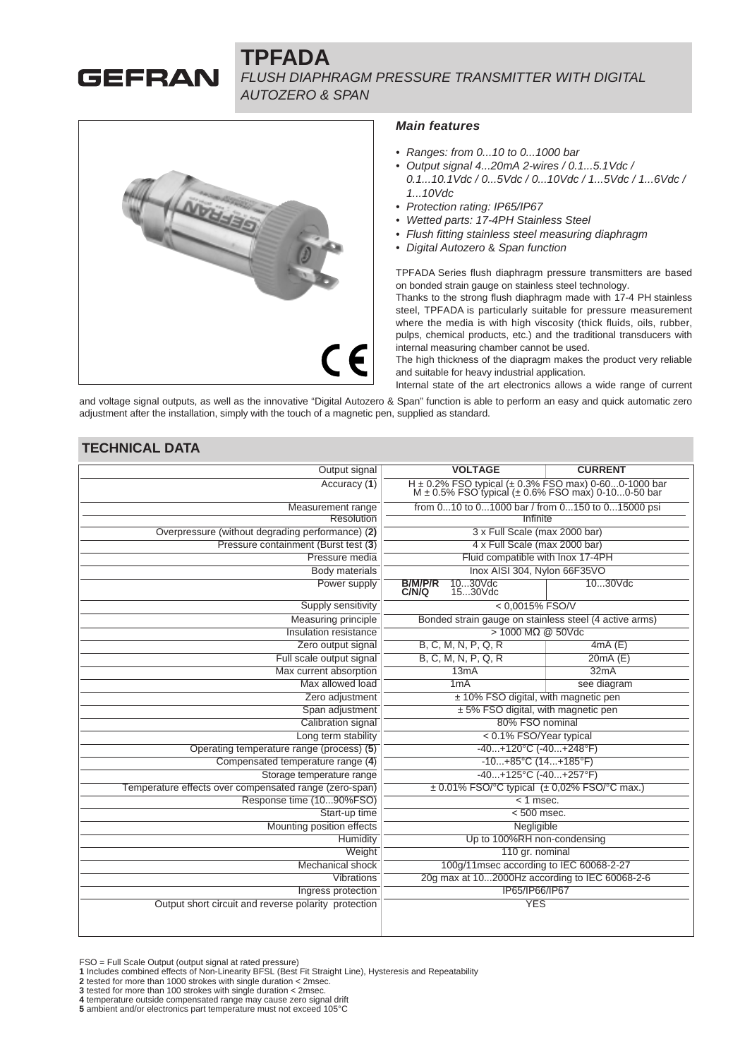# **GEFRAN**

# **TPFADA** FLUSH DIAPHRAGM PRESSURE TRANSMITTER WITH DIGITAL AUTOZERO & SPAN



#### **Main features**

- Ranges: from 0...10 to 0...1000 bar
- Output signal 4...20mA 2-wires / 0.1...5.1Vdc / 0.1...10.1Vdc / 0...5Vdc / 0...10Vdc / 1...5Vdc / 1...6Vdc / 1...10Vdc
- Protection rating: IP65/IP67
- Wetted parts: 17-4PH Stainless Steel
- Flush fitting stainless steel measuring diaphragm
- Digital Autozero & Span function

TPFADA Series flush diaphragm pressure transmitters are based on bonded strain gauge on stainless steel technology.

Thanks to the strong flush diaphragm made with 17-4 PH stainless steel, TPFADA is particularly suitable for pressure measurement where the media is with high viscosity (thick fluids, oils, rubber, pulps, chemical products, etc.) and the traditional transducers with internal measuring chamber cannot be used.

The high thickness of the diapragm makes the product very reliable and suitable for heavy industrial application.

Internal state of the art electronics allows a wide range of current

and voltage signal outputs, as well as the innovative "Digital Autozero & Span" function is able to perform an easy and quick automatic zero adjustment after the installation, simply with the touch of a magnetic pen, supplied as standard.

#### **TECHNICAL DATA**

| Output signal                                          | <b>VOLTAGE</b>                                  | <b>CURRENT</b>                                                                                                                   |  |  |  |  |  |
|--------------------------------------------------------|-------------------------------------------------|----------------------------------------------------------------------------------------------------------------------------------|--|--|--|--|--|
| Accuracy (1)                                           |                                                 | $H \pm 0.2\%$ FSO typical ( $\pm 0.3\%$ FSO max) 0-600-1000 bar<br>M $\pm 0.5\%$ FSO typical ( $\pm 0.6\%$ FSO max) 0-100-50 bar |  |  |  |  |  |
| Measurement range                                      | from 010 to 01000 bar / from 0150 to 015000 psi |                                                                                                                                  |  |  |  |  |  |
| Resolution                                             | Infinite                                        |                                                                                                                                  |  |  |  |  |  |
| Overpressure (without degrading performance) (2)       |                                                 | 3 x Full Scale (max 2000 bar)                                                                                                    |  |  |  |  |  |
| Pressure containment (Burst test (3)                   |                                                 | 4 x Full Scale (max 2000 bar)                                                                                                    |  |  |  |  |  |
| Pressure media                                         |                                                 | Fluid compatible with Inox 17-4PH                                                                                                |  |  |  |  |  |
| Body materials                                         |                                                 | Inox AISI 304, Nylon 66F35VO                                                                                                     |  |  |  |  |  |
| Power supply                                           | <b>B/M/P/R</b><br>1030Vdc<br>C/N/Q<br>1530Vdc   | 1030Vdc                                                                                                                          |  |  |  |  |  |
| Supply sensitivity                                     |                                                 | $< 0.0015\%$ FSO/V                                                                                                               |  |  |  |  |  |
| Measuring principle                                    |                                                 | Bonded strain gauge on stainless steel (4 active arms)                                                                           |  |  |  |  |  |
| Insulation resistance                                  |                                                 | $> 1000$ M $\Omega$ @ 50Vdc                                                                                                      |  |  |  |  |  |
| Zero output signal                                     | B, C, M, N, P, Q, R                             | 4mA(E)                                                                                                                           |  |  |  |  |  |
| Full scale output signal                               | B, C, M, N, P, Q, R                             | 20mA(E)                                                                                                                          |  |  |  |  |  |
| Max current absorption                                 | 13mA                                            | 32mA                                                                                                                             |  |  |  |  |  |
| Max allowed load                                       | 1mA                                             | see diagram                                                                                                                      |  |  |  |  |  |
| Zero adjustment                                        |                                                 | ± 10% FSO digital, with magnetic pen                                                                                             |  |  |  |  |  |
| Span adjustment                                        | ± 5% FSO digital, with magnetic pen             |                                                                                                                                  |  |  |  |  |  |
| Calibration signal                                     | 80% FSO nominal                                 |                                                                                                                                  |  |  |  |  |  |
| Long term stability                                    |                                                 | < 0.1% FSO/Year typical                                                                                                          |  |  |  |  |  |
| Operating temperature range (process) (5)              |                                                 | $-40+120°C$ $(-40+248°F)$                                                                                                        |  |  |  |  |  |
| Compensated temperature range (4)                      | $-10+85°C$ (14+185°F)                           |                                                                                                                                  |  |  |  |  |  |
| Storage temperature range                              | $-40+125^{\circ}C$ $(-40+257^{\circ}F)$         |                                                                                                                                  |  |  |  |  |  |
| Temperature effects over compensated range (zero-span) |                                                 | $\pm$ 0.01% FSO/°C typical ( $\pm$ 0,02% FSO/°C max.)                                                                            |  |  |  |  |  |
| Response time (1090%FSO)                               | $< 1$ msec.                                     |                                                                                                                                  |  |  |  |  |  |
| Start-up time                                          |                                                 | $< 500$ msec.                                                                                                                    |  |  |  |  |  |
| Mounting position effects                              |                                                 | Negligible                                                                                                                       |  |  |  |  |  |
| Humidity                                               |                                                 | Up to 100%RH non-condensing                                                                                                      |  |  |  |  |  |
| Weight                                                 |                                                 | 110 gr. nominal                                                                                                                  |  |  |  |  |  |
| <b>Mechanical shock</b>                                |                                                 | 100g/11msec according to IEC 60068-2-27                                                                                          |  |  |  |  |  |
| Vibrations                                             |                                                 | 20g max at 102000Hz according to IEC 60068-2-6                                                                                   |  |  |  |  |  |
| Ingress protection                                     |                                                 | IP65/IP66/IP67                                                                                                                   |  |  |  |  |  |
| Output short circuit and reverse polarity protection   |                                                 | <b>YES</b>                                                                                                                       |  |  |  |  |  |
|                                                        |                                                 |                                                                                                                                  |  |  |  |  |  |

FSO = Full Scale Output (output signal at rated pressure) **1** Includes combined effects of Non-Linearity BFSL (Best Fit Straight Line), Hysteresis and Repeatability

**3** tested for more than 100 strokes with single duration < 2msec.

**<sup>2</sup>** tested for more than 1000 strokes with single duration < 2msec.

**<sup>4</sup>** temperature outside compensated range may cause zero signal drift **5** ambient and/or electronics part temperature must not exceed 105°C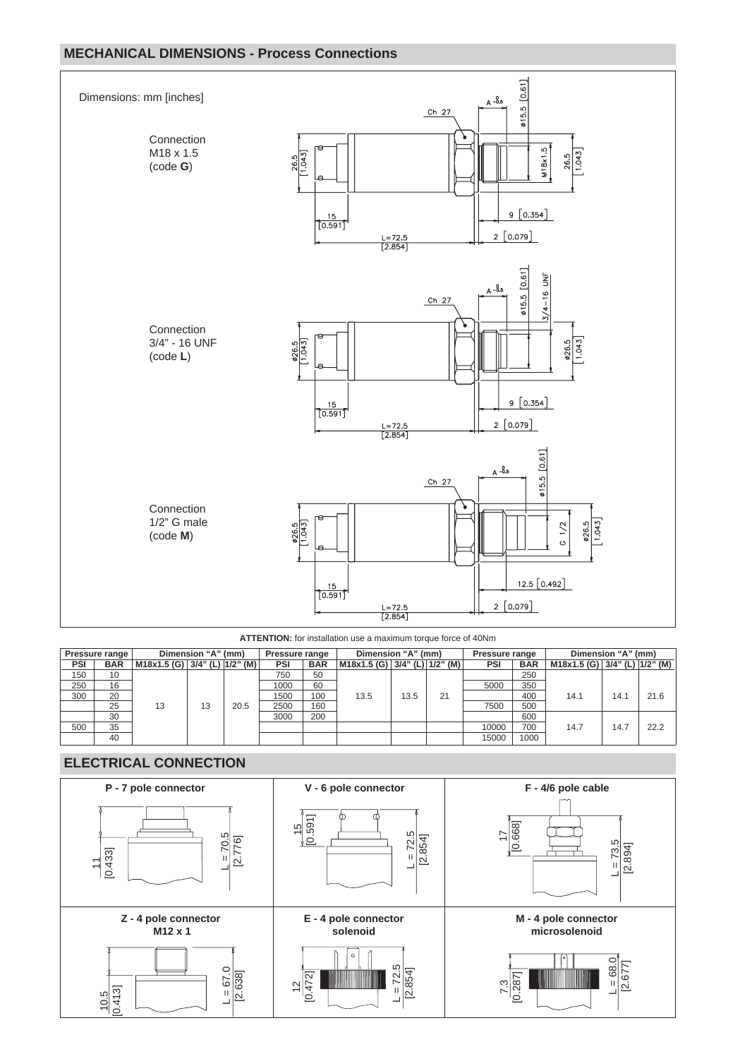# **MECHANICAL DIMENSIONS - Process Connections**



**ATTENTION:** for installation use a maximum torque force of 40Nm

|     | <b>Pressure range</b> |                               | Dimension "A" (mm) |      | Pressure range |            | Dimension "A" (mm)                |      |    | Pressure range |            | Dimension "A" (mm)                |      |      |
|-----|-----------------------|-------------------------------|--------------------|------|----------------|------------|-----------------------------------|------|----|----------------|------------|-----------------------------------|------|------|
| PSI | <b>BAR</b>            | M18x1.5 (G) 3/4" (L) 1/2" (M) |                    |      | PSI            | <b>BAR</b> | M18x1.5 (G)   3/4" (L)   1/2" (M) |      |    | <b>PSI</b>     | <b>BAR</b> | M18x1.5 (G) 3/4" (L) $ 1/2$ " (M) |      |      |
| 150 | 10                    |                               |                    |      | 750            | 50         |                                   |      |    |                | 250        |                                   |      |      |
| 250 | 16                    |                               |                    |      | 1000           | 60         |                                   |      |    | 5000           | 350        |                                   |      |      |
| 300 | 20                    |                               |                    |      | 1500           | 100        | 13.5                              | 13.5 | 21 |                | 400        | 14.1                              | 14.1 | 21.6 |
|     | 25                    | 13                            | 13                 | 20.5 | 2500           | 160        |                                   |      |    | 7500           | 500        |                                   |      |      |
|     | 30                    |                               |                    |      | 3000           | 200        |                                   |      |    |                | 600        |                                   |      |      |
| 500 | 35                    |                               |                    |      |                |            |                                   |      |    | 10000          | 700        | 14.7                              | 14.7 | 22.2 |
|     | 40                    |                               |                    |      |                |            |                                   |      |    | 15000          | 1000       |                                   |      |      |

## **ELECTRICAL CONNECTION**

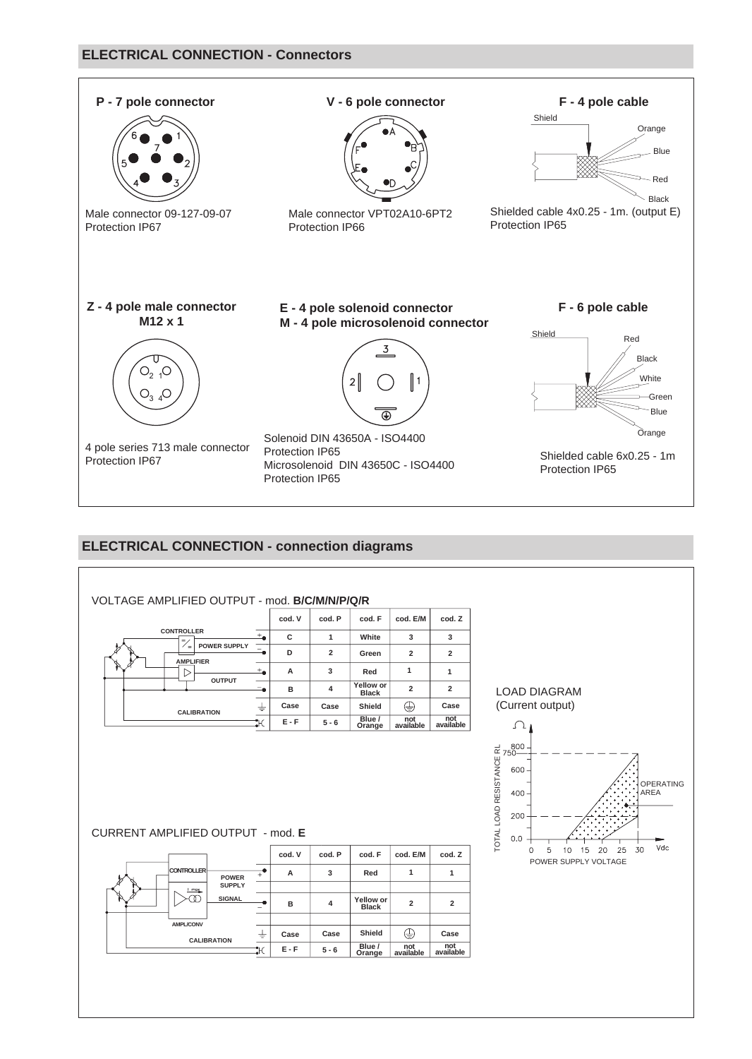#### **ELECTRICAL CONNECTION - Connectors**



# **ELECTRICAL CONNECTION - connection diagrams**

| VOLTAGE AMPLIFIED OUTPUT - mod. B/C/M/N/P/Q/R                             |                 |                |                           |                         |                         |                                                                                  |
|---------------------------------------------------------------------------|-----------------|----------------|---------------------------|-------------------------|-------------------------|----------------------------------------------------------------------------------|
|                                                                           | cod. V          | cod. P         | cod. F                    | cod. E/M                | cod. Z                  |                                                                                  |
| <b>CONTROLLER</b><br>$\overline{a}$<br>$\bar{z}/z$                        | с               | $\mathbf{1}$   | White                     | 3                       | 3                       |                                                                                  |
| <b>POWER SUPPLY</b><br>$\overline{\Xi}_\bullet$                           | D               | $\overline{2}$ | Green                     | $\overline{2}$          | $\overline{\mathbf{2}}$ |                                                                                  |
| <b>AMPLIFIER</b><br>$\pm_\bullet$<br>$\triangleright$                     | А               | 3              | Red                       | $\mathbf{1}$            | $\mathbf{1}$            |                                                                                  |
| <b>OUTPUT</b><br>د=                                                       | B               | $\overline{4}$ | Yellow or<br><b>Black</b> | $\overline{2}$          | $\overline{2}$          | <b>LOAD DIAGRAM</b>                                                              |
| $\overline{\div}$                                                         | Case            | Case           | Shield                    | ⊕                       | Case                    | (Current output)                                                                 |
| <b>CALIBRATION</b><br>$\ddot{\text{H}}$                                   | $E - F$         | $5 - 6$        | Blue /<br>Orange          | not<br>available        | not<br>available        | Ω                                                                                |
| CURRENT AMPLIFIED OUTPUT - mod. E                                         |                 |                |                           |                         |                         | TOTAL LOAD RESISTANCE RL<br>600<br><b>OPERATING</b><br>400<br>AREA<br>200<br>0.0 |
|                                                                           | cod. V          | cod. P         | cod. F                    | cod. E/M                | cod. Z                  | Vdc<br>25<br>30<br>5<br>15<br>20<br>$\Omega$<br>10<br>POWER SUPPLY VOLTAGE       |
| <b>CONTROLLER</b><br>$\overrightarrow{+}^{\bullet}$<br><b>POWER</b>       | A               | 3              | Red                       | 1                       | $\mathbf{1}$            |                                                                                  |
| <b>SUPPLY</b><br>I max<br><b>SIGNAL</b><br>-0<br>$\overline{\phantom{0}}$ | в               | 4              | Yellow or<br><b>Black</b> | $\overline{\mathbf{2}}$ | $\overline{\mathbf{2}}$ |                                                                                  |
| <b>AMPL/CONV</b>                                                          |                 |                |                           |                         |                         |                                                                                  |
| $\overline{\div}$<br><b>CALIBRATION</b>                                   | Case<br>$E - F$ | Case           | Shield<br>Blue /          | ⊕<br>not                | Case<br>not             |                                                                                  |
| $\overline{\mathcal{H}}$                                                  |                 | $5 - 6$        | Orange                    | available               | available               |                                                                                  |
|                                                                           |                 |                |                           |                         |                         |                                                                                  |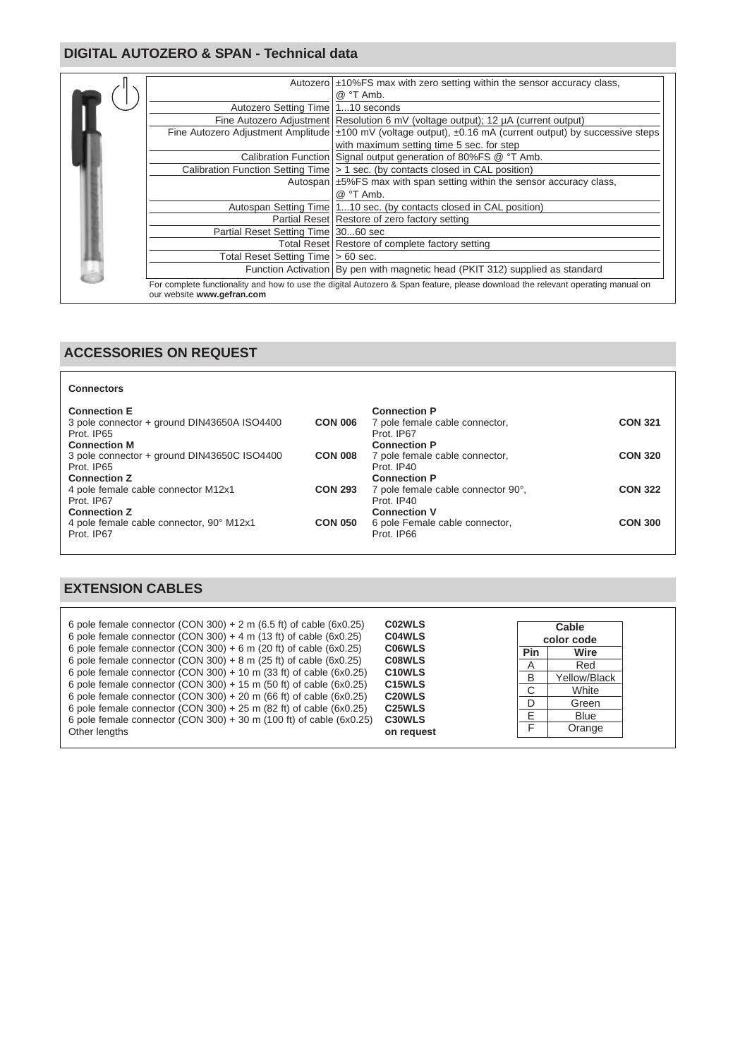#### **DIGITAL AUTOZERO & SPAN - Technical data**



#### **ACCESSORIES ON REQUEST**

| <b>Connectors</b>                                                                                       |                |                                                                                            |                |
|---------------------------------------------------------------------------------------------------------|----------------|--------------------------------------------------------------------------------------------|----------------|
| <b>Connection E</b><br>3 pole connector + ground DIN43650A ISO4400<br>Prot. IP65<br><b>Connection M</b> | <b>CON 006</b> | <b>Connection P</b><br>7 pole female cable connector,<br>Prot. IP67<br><b>Connection P</b> | <b>CON 321</b> |
| 3 pole connector + ground DIN43650C ISO4400<br>Prot. IP65<br><b>Connection Z</b>                        | <b>CON 008</b> | 7 pole female cable connector,<br>Prot. IP40<br><b>Connection P</b>                        | <b>CON 320</b> |
| 4 pole female cable connector M12x1<br>Prot. IP67<br><b>Connection Z</b>                                | <b>CON 293</b> | 7 pole female cable connector 90°,<br>Prot. IP40<br><b>Connection V</b>                    | <b>CON 322</b> |
| 4 pole female cable connector, 90° M12x1<br>Prot. IP67                                                  | <b>CON 050</b> | 6 pole Female cable connector,<br>Prot. IP66                                               | <b>CON 300</b> |

### **EXTENSION CABLES**

| 6 pole female connector (CON 300) + 2 m (6.5 ft) of cable (6x0.25)<br>6 pole female connector (CON 300) + 4 m (13 ft) of cable (6x0.25) | C02WLS<br>C04WLS                  |                | Cable<br>color code |
|-----------------------------------------------------------------------------------------------------------------------------------------|-----------------------------------|----------------|---------------------|
| 6 pole female connector (CON 300) $+ 6$ m (20 ft) of cable (6x0.25)                                                                     | <b>C06WLS</b>                     | <b>Pin</b>     | Wire                |
| 6 pole female connector (CON 300) + 8 m (25 ft) of cable $(6x0.25)$                                                                     | C08WLS                            | $\overline{A}$ | Red                 |
| 6 pole female connector (CON 300) + 10 m (33 ft) of cable $(6x0.25)$                                                                    | C <sub>10</sub> WLS               | B              | Yellow/Black        |
| 6 pole female connector (CON 300) + 15 m (50 ft) of cable (6x0.25)                                                                      | C <sub>15</sub> WLS               | C              | White               |
| 6 pole female connector (CON 300) + 20 m (66 ft) of cable (6x0.25)                                                                      | C <sub>20</sub> WLS               | D              | Green               |
| 6 pole female connector (CON 300) + 25 m (82 ft) of cable $(6x0.25)$                                                                    | C <sub>25</sub> WLS               | E              | <b>Blue</b>         |
| 6 pole female connector (CON 300) + 30 m (100 ft) of cable (6x0.25)<br>Other lengths                                                    | C <sub>30</sub> WLS<br>on request | ⊏              | Orange              |